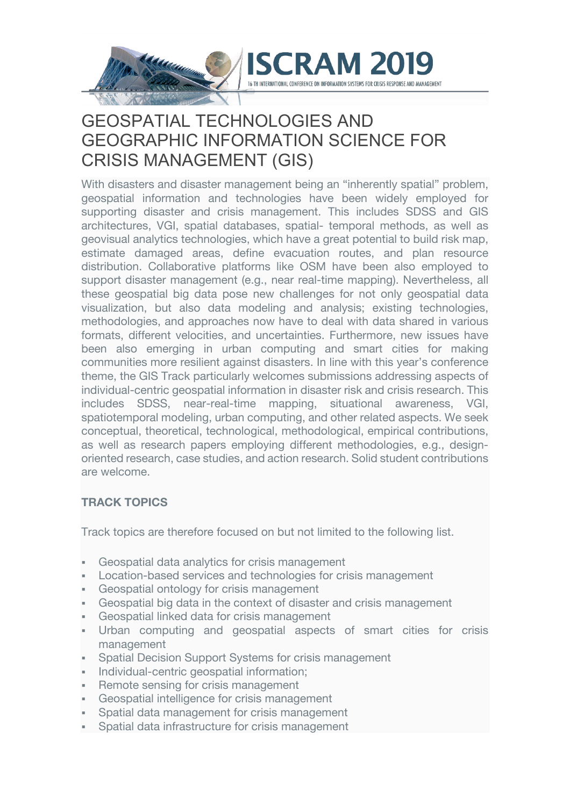

# GEOSPATIAL TECHNOLOGIES AND GEOGRAPHIC INFORMATION SCIENCE FOR CRISIS MANAGEMENT (GIS)

With disasters and disaster management being an "inherently spatial" problem, geospatial information and technologies have been widely employed for supporting disaster and crisis management. This includes SDSS and GIS architectures, VGI, spatial databases, spatial- temporal methods, as well as geovisual analytics technologies, which have a great potential to build risk map, estimate damaged areas, define evacuation routes, and plan resource distribution. Collaborative platforms like OSM have been also employed to support disaster management (e.g., near real-time mapping). Nevertheless, all these geospatial big data pose new challenges for not only geospatial data visualization, but also data modeling and analysis; existing technologies, methodologies, and approaches now have to deal with data shared in various formats, different velocities, and uncertainties. Furthermore, new issues have been also emerging in urban computing and smart cities for making communities more resilient against disasters. In line with this year's conference theme, the GIS Track particularly welcomes submissions addressing aspects of individual-centric geospatial information in disaster risk and crisis research. This includes SDSS, near-real-time mapping, situational awareness, VGI, spatiotemporal modeling, urban computing, and other related aspects. We seek conceptual, theoretical, technological, methodological, empirical contributions, as well as research papers employing different methodologies, e.g., designoriented research, case studies, and action research. Solid student contributions are welcome.

### **TRACK TOPICS**

Track topics are therefore focused on but not limited to the following list.

- Geospatial data analytics for crisis management
- § Location-based services and technologies for crisis management
- § Geospatial ontology for crisis management
- § Geospatial big data in the context of disaster and crisis management
- § Geospatial linked data for crisis management
- § Urban computing and geospatial aspects of smart cities for crisis management
- Spatial Decision Support Systems for crisis management
- **Individual-centric geospatial information;**
- Remote sensing for crisis management
- Geospatial intelligence for crisis management
- § Spatial data management for crisis management
- § Spatial data infrastructure for crisis management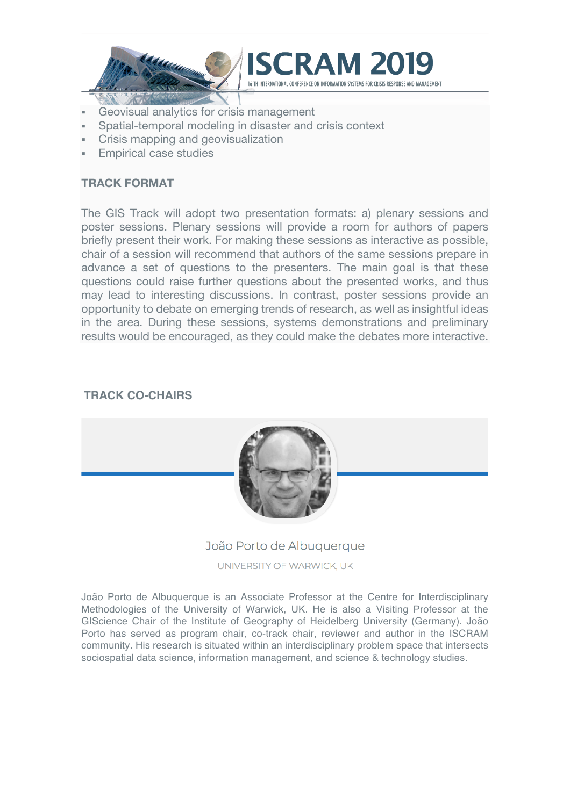



- Geovisual analytics for crisis management
- § Spatial-temporal modeling in disaster and crisis context
- § Crisis mapping and geovisualization
- § Empirical case studies

#### **TRACK FORMAT**

The GIS Track will adopt two presentation formats: a) plenary sessions and poster sessions. Plenary sessions will provide a room for authors of papers briefly present their work. For making these sessions as interactive as possible, chair of a session will recommend that authors of the same sessions prepare in advance a set of questions to the presenters. The main goal is that these questions could raise further questions about the presented works, and thus may lead to interesting discussions. In contrast, poster sessions provide an opportunity to debate on emerging trends of research, as well as insightful ideas in the area. During these sessions, systems demonstrations and preliminary results would be encouraged, as they could make the debates more interactive.

#### **TRACK CO-CHAIRS**



#### João Porto de Albuquerque

UNIVERSITY OF WARWICK, UK

João Porto de Albuquerque is an Associate Professor at the Centre for Interdisciplinary Methodologies of the University of Warwick, UK. He is also a Visiting Professor at the GIScience Chair of the Institute of Geography of Heidelberg University (Germany). João Porto has served as program chair, co-track chair, reviewer and author in the ISCRAM community. His research is situated within an interdisciplinary problem space that intersects sociospatial data science, information management, and science & technology studies.